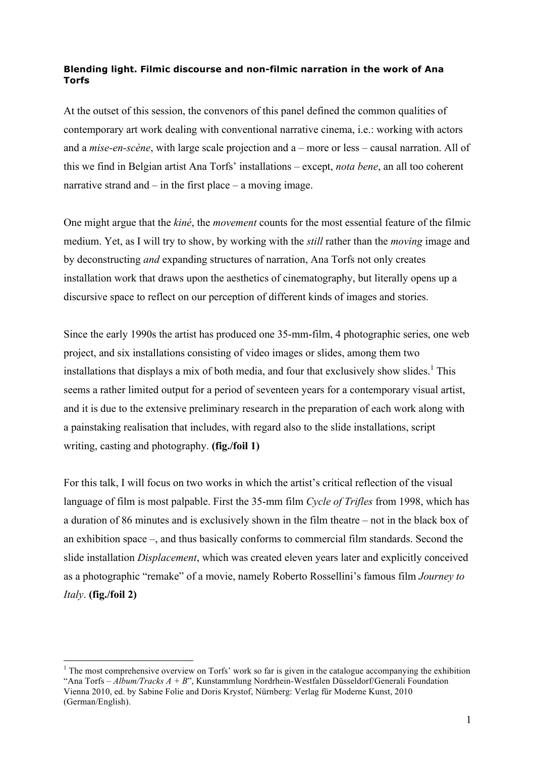## **Blending light. Filmic discourse and non-filmic narration in the work of Ana Torfs**

At the outset of this session, the convenors of this panel defined the common qualities of contemporary art work dealing with conventional narrative cinema, i.e.: working with actors and a *mise-en-scène*, with large scale projection and a – more or less – causal narration. All of this we find in Belgian artist Ana Torfs' installations – except, *nota bene*, an all too coherent narrative strand and  $-$  in the first place  $-$  a moving image.

One might argue that the *kiné*, the *movement* counts for the most essential feature of the filmic medium. Yet, as I will try to show, by working with the *still* rather than the *moving* image and by deconstructing *and* expanding structures of narration, Ana Torfs not only creates installation work that draws upon the aesthetics of cinematography, but literally opens up a discursive space to reflect on our perception of different kinds of images and stories.

Since the early 1990s the artist has produced one 35-mm-film, 4 photographic series, one web project, and six installations consisting of video images or slides, among them two installations that displays a mix of both media, and four that exclusively show slides.<sup>1</sup> This seems a rather limited output for a period of seventeen years for a contemporary visual artist, and it is due to the extensive preliminary research in the preparation of each work along with a painstaking realisation that includes, with regard also to the slide installations, script writing, casting and photography. **(fig./foil 1)**

For this talk, I will focus on two works in which the artist's critical reflection of the visual language of film is most palpable. First the 35-mm film *Cycle of Trifles* from 1998, which has a duration of 86 minutes and is exclusively shown in the film theatre – not in the black box of an exhibition space –, and thus basically conforms to commercial film standards. Second the slide installation *Displacement*, which was created eleven years later and explicitly conceived as a photographic "remake" of a movie, namely Roberto Rossellini's famous film *Journey to Italy*. **(fig./foil 2)**

 $\frac{1}{1}$  $1$ . The most comprehensive overview on Torfs' work so far is given in the catalogue accompanying the exhibition "Ana Torfs – *Album/Tracks A + B*", Kunstammlung Nordrhein-Westfalen Düsseldorf/Generali Foundation Vienna 2010, ed. by Sabine Folie and Doris Krystof, Nürnberg: Verlag für Moderne Kunst, 2010 (German/English).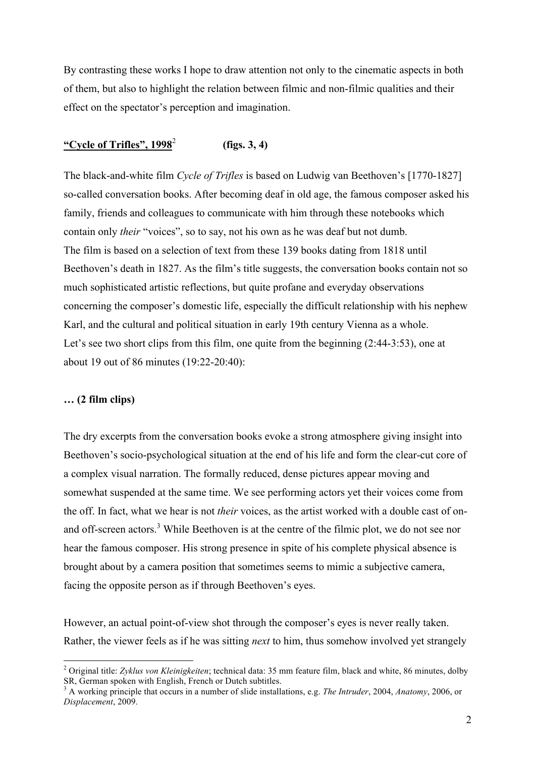By contrasting these works I hope to draw attention not only to the cinematic aspects in both of them, but also to highlight the relation between filmic and non-filmic qualities and their effect on the spectator's perception and imagination.

## **"Cycle of Trifles", 1998**<sup>2</sup> **(figs. 3, 4)**

The black-and-white film *Cycle of Trifles* is based on Ludwig van Beethoven's [1770-1827] so-called conversation books. After becoming deaf in old age, the famous composer asked his family, friends and colleagues to communicate with him through these notebooks which contain only *their* "voices", so to say, not his own as he was deaf but not dumb. The film is based on a selection of text from these 139 books dating from 1818 until Beethoven's death in 1827. As the film's title suggests, the conversation books contain not so much sophisticated artistic reflections, but quite profane and everyday observations concerning the composer's domestic life, especially the difficult relationship with his nephew Karl, and the cultural and political situation in early 19th century Vienna as a whole. Let's see two short clips from this film, one quite from the beginning (2:44-3:53), one at about 19 out of 86 minutes (19:22-20:40):

## **… (2 film clips)**

The dry excerpts from the conversation books evoke a strong atmosphere giving insight into Beethoven's socio-psychological situation at the end of his life and form the clear-cut core of a complex visual narration. The formally reduced, dense pictures appear moving and somewhat suspended at the same time. We see performing actors yet their voices come from the off. In fact, what we hear is not *their* voices, as the artist worked with a double cast of onand off-screen actors.<sup>3</sup> While Beethoven is at the centre of the filmic plot, we do not see nor hear the famous composer. His strong presence in spite of his complete physical absence is brought about by a camera position that sometimes seems to mimic a subjective camera, facing the opposite person as if through Beethoven's eyes.

However, an actual point-of-view shot through the composer's eyes is never really taken. Rather, the viewer feels as if he was sitting *next* to him, thus somehow involved yet strangely

 <sup>2</sup> Original title: *Zyklus von Kleinigkeiten*; technical data: 35 mm feature film, black and white, 86 minutes, dolby SR, German spoken with English, French or Dutch subtitles.

<sup>3</sup> A working principle that occurs in a number of slide installations, e.g. *The Intruder*, 2004, *Anatomy*, 2006, or *Displacement*, 2009.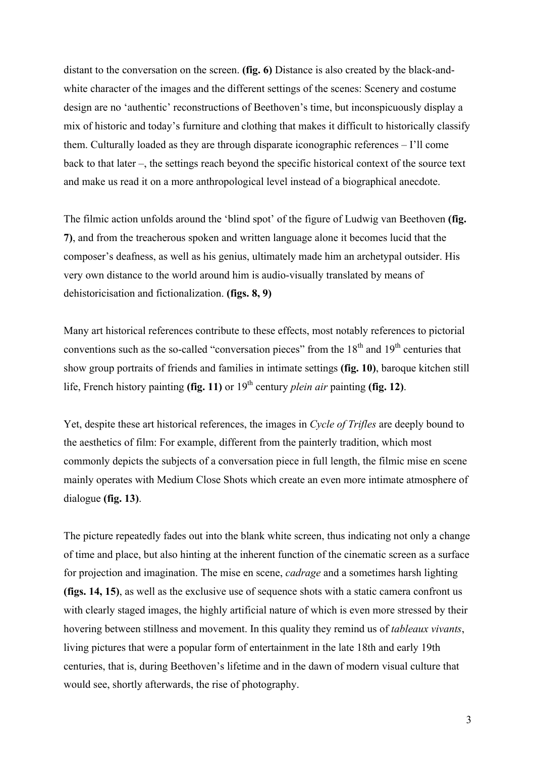distant to the conversation on the screen. **(fig. 6)** Distance is also created by the black-andwhite character of the images and the different settings of the scenes: Scenery and costume design are no 'authentic' reconstructions of Beethoven's time, but inconspicuously display a mix of historic and today's furniture and clothing that makes it difficult to historically classify them. Culturally loaded as they are through disparate iconographic references – I'll come back to that later –, the settings reach beyond the specific historical context of the source text and make us read it on a more anthropological level instead of a biographical anecdote.

The filmic action unfolds around the 'blind spot' of the figure of Ludwig van Beethoven **(fig. 7)**, and from the treacherous spoken and written language alone it becomes lucid that the composer's deafness, as well as his genius, ultimately made him an archetypal outsider. His very own distance to the world around him is audio-visually translated by means of dehistoricisation and fictionalization. **(figs. 8, 9)**

Many art historical references contribute to these effects, most notably references to pictorial conventions such as the so-called "conversation pieces" from the  $18<sup>th</sup>$  and  $19<sup>th</sup>$  centuries that show group portraits of friends and families in intimate settings **(fig. 10)**, baroque kitchen still life, French history painting **(fig. 11)** or  $19<sup>th</sup>$  century *plein air* painting **(fig. 12)**.

Yet, despite these art historical references, the images in *Cycle of Trifles* are deeply bound to the aesthetics of film: For example, different from the painterly tradition, which most commonly depicts the subjects of a conversation piece in full length, the filmic mise en scene mainly operates with Medium Close Shots which create an even more intimate atmosphere of dialogue **(fig. 13)**.

The picture repeatedly fades out into the blank white screen, thus indicating not only a change of time and place, but also hinting at the inherent function of the cinematic screen as a surface for projection and imagination. The mise en scene, *cadrage* and a sometimes harsh lighting **(figs. 14, 15)**, as well as the exclusive use of sequence shots with a static camera confront us with clearly staged images, the highly artificial nature of which is even more stressed by their hovering between stillness and movement. In this quality they remind us of *tableaux vivants*, living pictures that were a popular form of entertainment in the late 18th and early 19th centuries, that is, during Beethoven's lifetime and in the dawn of modern visual culture that would see, shortly afterwards, the rise of photography.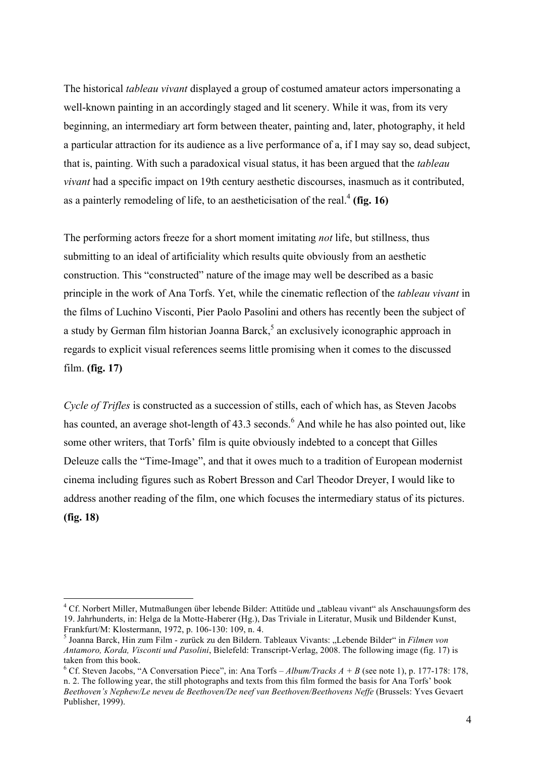The historical *tableau vivant* displayed a group of costumed amateur actors impersonating a well-known painting in an accordingly staged and lit scenery. While it was, from its very beginning, an intermediary art form between theater, painting and, later, photography, it held a particular attraction for its audience as a live performance of a, if I may say so, dead subject, that is, painting. With such a paradoxical visual status, it has been argued that the *tableau vivant* had a specific impact on 19th century aesthetic discourses, inasmuch as it contributed, as a painterly remodeling of life, to an aestheticisation of the real.<sup>4</sup> (fig. 16)

The performing actors freeze for a short moment imitating *not* life, but stillness, thus submitting to an ideal of artificiality which results quite obviously from an aesthetic construction. This "constructed" nature of the image may well be described as a basic principle in the work of Ana Torfs. Yet, while the cinematic reflection of the *tableau vivant* in the films of Luchino Visconti, Pier Paolo Pasolini and others has recently been the subject of a study by German film historian Joanna Barck,<sup>5</sup> an exclusively iconographic approach in regards to explicit visual references seems little promising when it comes to the discussed film. **(fig. 17)**

*Cycle of Trifles* is constructed as a succession of stills, each of which has, as Steven Jacobs has counted, an average shot-length of 43.3 seconds.<sup>6</sup> And while he has also pointed out, like some other writers, that Torfs' film is quite obviously indebted to a concept that Gilles Deleuze calls the "Time-Image", and that it owes much to a tradition of European modernist cinema including figures such as Robert Bresson and Carl Theodor Dreyer, I would like to address another reading of the film, one which focuses the intermediary status of its pictures. **(fig. 18)**

 $\frac{1}{4}$ <sup>4</sup> Cf. Norbert Miller, Mutmaßungen über lebende Bilder: Attitüde und "tableau vivant" als Anschauungsform des 19. Jahrhunderts, in: Helga de la Motte-Haberer (Hg.), Das Triviale in Literatur, Musik und Bildender Kunst, Frankfurt/M: Klostermann, 1972, p. 106-130: 109, n. 4. <sup>5</sup>

<sup>&</sup>lt;sup>5</sup> Joanna Barck, Hin zum Film - zurück zu den Bildern. Tableaux Vivants: "Lebende Bilder" in *Filmen von Antamoro, Korda, Visconti und Pasolini*, Bielefeld: Transcript-Verlag, 2008. The following image (fig. 17) is taken from this book.

<sup>&</sup>lt;sup>6</sup> Cf. Steven Jacobs, "A Conversation Piece", in: Ana Torfs – *Album/Tracks A* + *B* (see note 1), p. 177-178: 178, n. 2. The following year, the still photographs and texts from this film formed the basis for Ana Torfs' book *Beethoven's Nephew/Le neveu de Beethoven/De neef van Beethoven/Beethovens Neffe* (Brussels: Yves Gevaert Publisher, 1999).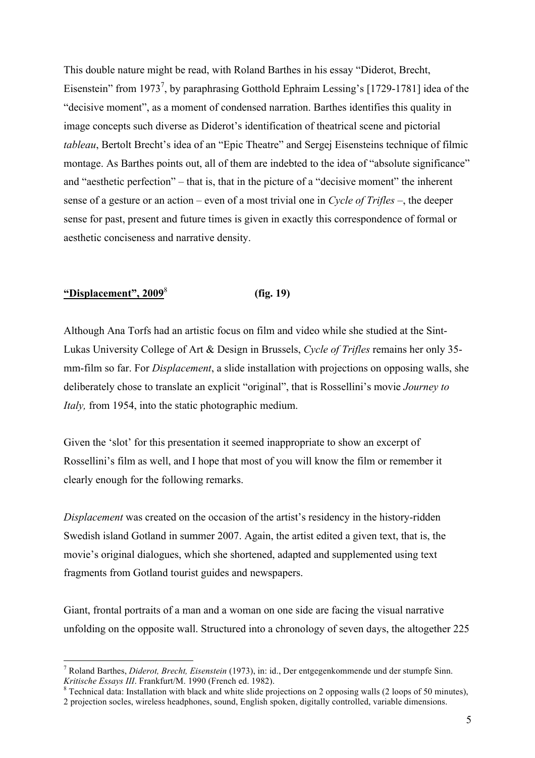This double nature might be read, with Roland Barthes in his essay "Diderot, Brecht, Eisenstein" from 1973<sup>7</sup>, by paraphrasing Gotthold Ephraim Lessing's [1729-1781] idea of the "decisive moment", as a moment of condensed narration. Barthes identifies this quality in image concepts such diverse as Diderot's identification of theatrical scene and pictorial *tableau*, Bertolt Brecht's idea of an "Epic Theatre" and Sergej Eisensteins technique of filmic montage. As Barthes points out, all of them are indebted to the idea of "absolute significance" and "aesthetic perfection" – that is, that in the picture of a "decisive moment" the inherent sense of a gesture or an action – even of a most trivial one in *Cycle of Trifles* –, the deeper sense for past, present and future times is given in exactly this correspondence of formal or aesthetic conciseness and narrative density.

## **"Displacement", 2009**<sup>8</sup> **(fig. 19)**

Although Ana Torfs had an artistic focus on film and video while she studied at the Sint-Lukas University College of Art & Design in Brussels, *Cycle of Trifles* remains her only 35 mm-film so far. For *Displacement*, a slide installation with projections on opposing walls, she deliberately chose to translate an explicit "original", that is Rossellini's movie *Journey to Italy,* from 1954, into the static photographic medium.

Given the 'slot' for this presentation it seemed inappropriate to show an excerpt of Rossellini's film as well, and I hope that most of you will know the film or remember it clearly enough for the following remarks.

*Displacement* was created on the occasion of the artist's residency in the history-ridden Swedish island Gotland in summer 2007. Again, the artist edited a given text, that is, the movie's original dialogues, which she shortened, adapted and supplemented using text fragments from Gotland tourist guides and newspapers.

Giant, frontal portraits of a man and a woman on one side are facing the visual narrative unfolding on the opposite wall. Structured into a chronology of seven days, the altogether 225

<sup>&</sup>lt;sup>-</sup> Roland Barthes, *Diderot, Brecht, Eisenstein* (1973), in: id., Der entgegenkommende und der stumpfe Sinn. *Kritische Essays III*. Frankfurt/M. 1990 (French ed. 1982). 8

<sup>&</sup>lt;sup>8</sup> Technical data: Installation with black and white slide projections on 2 opposing walls (2 loops of 50 minutes), 2 projection socles, wireless headphones, sound, English spoken, digitally controlled, variable dimensions.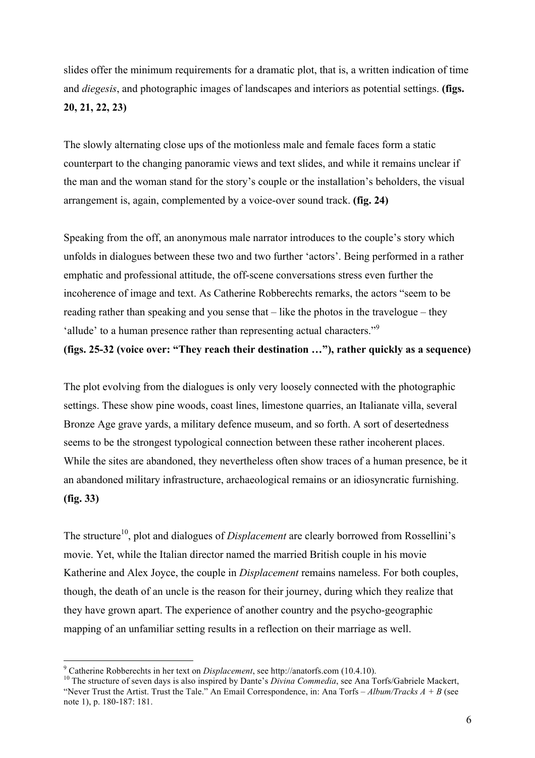slides offer the minimum requirements for a dramatic plot, that is, a written indication of time and *diegesis*, and photographic images of landscapes and interiors as potential settings. **(figs. 20, 21, 22, 23)**

The slowly alternating close ups of the motionless male and female faces form a static counterpart to the changing panoramic views and text slides, and while it remains unclear if the man and the woman stand for the story's couple or the installation's beholders, the visual arrangement is, again, complemented by a voice-over sound track. **(fig. 24)**

Speaking from the off, an anonymous male narrator introduces to the couple's story which unfolds in dialogues between these two and two further 'actors'. Being performed in a rather emphatic and professional attitude, the off-scene conversations stress even further the incoherence of image and text. As Catherine Robberechts remarks, the actors "seem to be reading rather than speaking and you sense that – like the photos in the travelogue – they 'allude' to a human presence rather than representing actual characters."<sup>9</sup>

**(figs. 25-32 (voice over: "They reach their destination …"), rather quickly as a sequence)**

The plot evolving from the dialogues is only very loosely connected with the photographic settings. These show pine woods, coast lines, limestone quarries, an Italianate villa, several Bronze Age grave yards, a military defence museum, and so forth. A sort of desertedness seems to be the strongest typological connection between these rather incoherent places. While the sites are abandoned, they nevertheless often show traces of a human presence, be it an abandoned military infrastructure, archaeological remains or an idiosyncratic furnishing. **(fig. 33)**

The structure<sup>10</sup>, plot and dialogues of *Displacement* are clearly borrowed from Rossellini's movie. Yet, while the Italian director named the married British couple in his movie Katherine and Alex Joyce, the couple in *Displacement* remains nameless. For both couples, though, the death of an uncle is the reason for their journey, during which they realize that they have grown apart. The experience of another country and the psycho-geographic mapping of an unfamiliar setting results in a reflection on their marriage as well.

<sup>-&</sup>lt;br>9

<sup>&</sup>lt;sup>9</sup> Catherine Robberechts in her text on *Displacement*, see http://anatorfs.com (10.4.10).<br><sup>10</sup> The structure of seven days is also inspired by Dante's *Divina Commedia*, see Ana Torfs/Gabriele Mackert, "Never Trust the Artist. Trust the Tale." An Email Correspondence, in: Ana Torfs – *Album/Tracks A* + *B* (see note 1), p. 180-187: 181.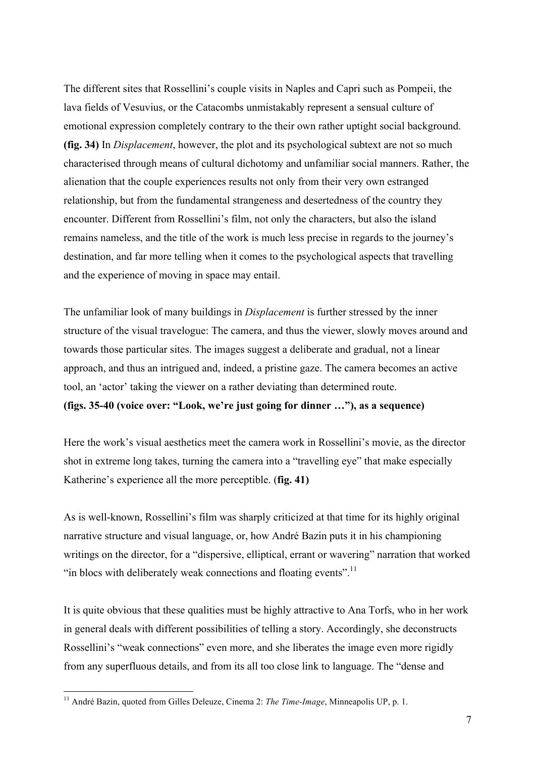The different sites that Rossellini's couple visits in Naples and Capri such as Pompeii, the lava fields of Vesuvius, or the Catacombs unmistakably represent a sensual culture of emotional expression completely contrary to the their own rather uptight social background. **(fig. 34)** In *Displacement*, however, the plot and its psychological subtext are not so much characterised through means of cultural dichotomy and unfamiliar social manners. Rather, the alienation that the couple experiences results not only from their very own estranged relationship, but from the fundamental strangeness and desertedness of the country they encounter. Different from Rossellini's film, not only the characters, but also the island remains nameless, and the title of the work is much less precise in regards to the journey's destination, and far more telling when it comes to the psychological aspects that travelling and the experience of moving in space may entail.

The unfamiliar look of many buildings in *Displacement* is further stressed by the inner structure of the visual travelogue: The camera, and thus the viewer, slowly moves around and towards those particular sites. The images suggest a deliberate and gradual, not a linear approach, and thus an intrigued and, indeed, a pristine gaze. The camera becomes an active tool, an 'actor' taking the viewer on a rather deviating than determined route.

**(figs. 35-40 (voice over: "Look, we're just going for dinner …"), as a sequence)**

Here the work's visual aesthetics meet the camera work in Rossellini's movie, as the director shot in extreme long takes, turning the camera into a "travelling eye" that make especially Katherine's experience all the more perceptible. (**fig. 41)**

As is well-known, Rossellini's film was sharply criticized at that time for its highly original narrative structure and visual language, or, how André Bazin puts it in his championing writings on the director, for a "dispersive, elliptical, errant or wavering" narration that worked "in blocs with deliberately weak connections and floating events".<sup>11</sup>

It is quite obvious that these qualities must be highly attractive to Ana Torfs, who in her work in general deals with different possibilities of telling a story. Accordingly, she deconstructs Rossellini's "weak connections" even more, and she liberates the image even more rigidly from any superfluous details, and from its all too close link to language. The "dense and

<sup>&</sup>lt;sup>11</sup> André Bazin, quoted from Gilles Deleuze, Cinema 2: *The Time-Image*, Minneapolis UP, p. 1.